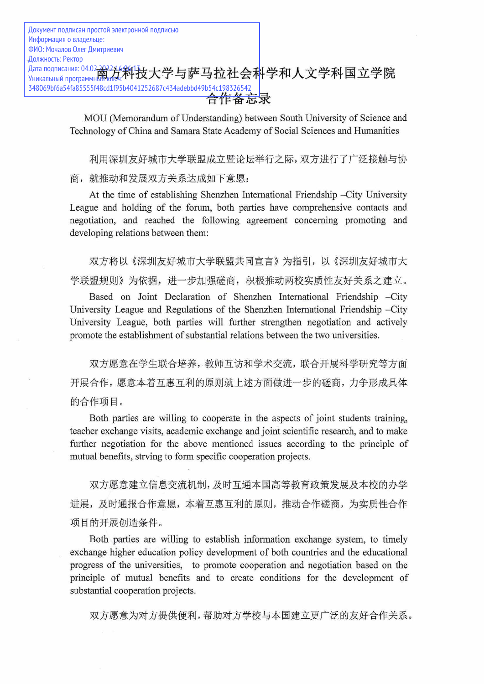Документ подписан простой электронной подписью Информация о владельце: ФИО: Мочалов Олег Дмитриевич -Должность: Ректор Дата подписания: 04.02.202246和技大学与萨马拉社会科学和人文学科国立学院 348069bf6a54fa85555f48cd1f95b4041252687c434adebbd49b54c198326542 合作备忘录

> MOU (Memorandum of Understanding) between South University of Science and Technology of China and Samara State Academy of Social Sciences and Humanities

> 利用深圳友好城市大学联盟成立暨论坛举行之际, 双方进行了广泛接触与协 商, 就推动和发展双方关系达成如下意愿:

> At the time of establishing Shenzhen International Friendship -City University League and holding of the forum, both parties have comprehensive contacts and negotiation, and reached the following agreement concerning promoting and developing relations between them:

> 双方将以《深圳友好城市大学联盟共同宣言》为指引,以《深圳友好城市大 学联盟规则》为依据, 进一步加强磋商, 积极推动两校实质性友好关系之建立。

> Based on Joint Declaration of Shenzhen International Friendship -City University League and Regulations of the Shenzhen International Friendship -City University League, both parties will further strengthen negotiation and actively promote the establishment of substantial relations between the two universities.

> 双方愿意在学生联合培养, 教师互访和学术交流, 联合开展科学研究等方面 开展合作,愿意本着互惠互利的原则就上述方面做进一步的磋商,力争形成具体 的合作项目。

> Both parties are willing to cooperate in the aspects of joint students training, teacher exchange visits, academic exchange and joint scientific research, and to make further negotiation for the above mentioned issues according to the principle of mutual benefits, strving to form specific cooperation projects.

> 双方愿意建立信息交流机制,及时互通本国高等教育政策发展及本校的办学 进展,及时通报合作意愿,本着互惠互利的原则,推动合作磋商,为实质性合作 项目的开展创造条件。

> Both parties are willing to establish information exchange system, to timely exchange higher education policy development of both countries and the educational progress of the universities, to promote cooperation and negotiation based on the principle of mutual benefits and to create conditions for the development of substantial cooperation projects.

双方愿意为对方提供便利,帮助对方学校与本国建立更广泛的友好合作关系。